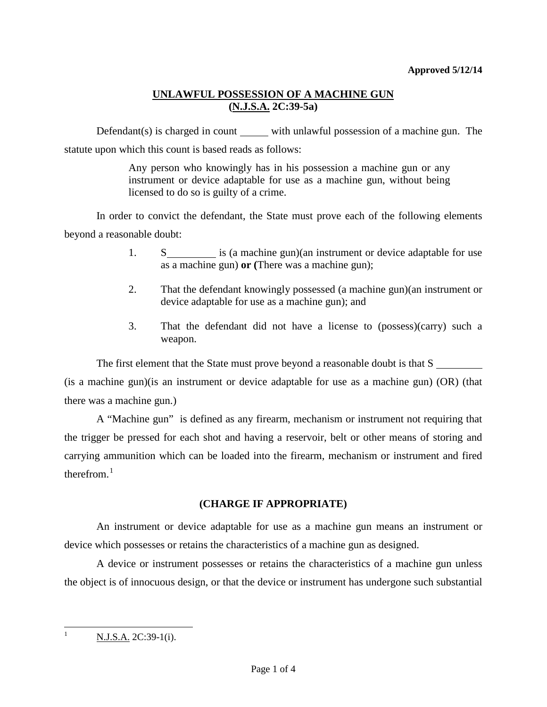Defendant(s) is charged in count with unlawful possession of a machine gun. The statute upon which this count is based reads as follows:

> Any person who knowingly has in his possession a machine gun or any instrument or device adaptable for use as a machine gun, without being licensed to do so is guilty of a crime.

In order to convict the defendant, the State must prove each of the following elements beyond a reasonable doubt:

- 1. S is (a machine gun)(an instrument or device adaptable for use as a machine gun) **or (**There was a machine gun);
- 2. That the defendant knowingly possessed (a machine gun)(an instrument or device adaptable for use as a machine gun); and
- 3. That the defendant did not have a license to (possess)(carry) such a weapon.

The first element that the State must prove beyond a reasonable doubt is that S (is a machine gun)(is an instrument or device adaptable for use as a machine gun) (OR) (that there was a machine gun.)

A "Machine gun" is defined as any firearm, mechanism or instrument not requiring that the trigger be pressed for each shot and having a reservoir, belt or other means of storing and carrying ammunition which can be loaded into the firearm, mechanism or instrument and fired therefrom  $1$ 

# **(CHARGE IF APPROPRIATE)**

An instrument or device adaptable for use as a machine gun means an instrument or device which possesses or retains the characteristics of a machine gun as designed.

<span id="page-0-0"></span>A device or instrument possesses or retains the characteristics of a machine gun unless the object is of innocuous design, or that the device or instrument has undergone such substantial

 $N.J.S.A. 2C:39-1(i).$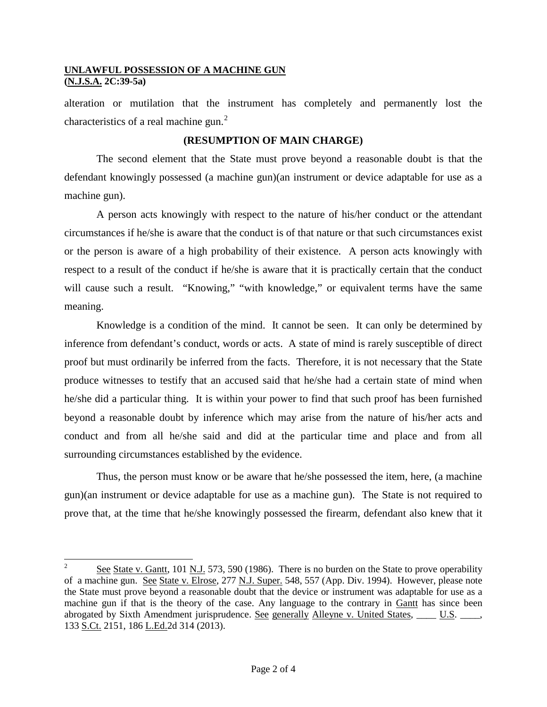alteration or mutilation that the instrument has completely and permanently lost the characteristics of a real machine gun. $<sup>2</sup>$  $<sup>2</sup>$  $<sup>2</sup>$ </sup>

### **(RESUMPTION OF MAIN CHARGE)**

The second element that the State must prove beyond a reasonable doubt is that the defendant knowingly possessed (a machine gun)(an instrument or device adaptable for use as a machine gun).

A person acts knowingly with respect to the nature of his/her conduct or the attendant circumstances if he/she is aware that the conduct is of that nature or that such circumstances exist or the person is aware of a high probability of their existence. A person acts knowingly with respect to a result of the conduct if he/she is aware that it is practically certain that the conduct will cause such a result. "Knowing," "with knowledge," or equivalent terms have the same meaning.

Knowledge is a condition of the mind. It cannot be seen. It can only be determined by inference from defendant's conduct, words or acts. A state of mind is rarely susceptible of direct proof but must ordinarily be inferred from the facts. Therefore, it is not necessary that the State produce witnesses to testify that an accused said that he/she had a certain state of mind when he/she did a particular thing. It is within your power to find that such proof has been furnished beyond a reasonable doubt by inference which may arise from the nature of his/her acts and conduct and from all he/she said and did at the particular time and place and from all surrounding circumstances established by the evidence.

Thus, the person must know or be aware that he/she possessed the item, here, (a machine gun)(an instrument or device adaptable for use as a machine gun). The State is not required to prove that, at the time that he/she knowingly possessed the firearm, defendant also knew that it

<span id="page-1-0"></span>See State v. Gantt, 101 N.J. 573, 590 (1986). There is no burden on the State to prove operability of a machine gun. See State v. Elrose, 277 N.J. Super. 548, 557 (App. Div. 1994). However, please note the State must prove beyond a reasonable doubt that the device or instrument was adaptable for use as a machine gun if that is the theory of the case. Any language to the contrary in Gantt has since been abrogated by Sixth Amendment jurisprudence. See generally Alleyne v. United States, \_\_\_\_ U.S. \_\_\_\_, 133 S.Ct. 2151, 186 L.Ed. 2d 314 (2013).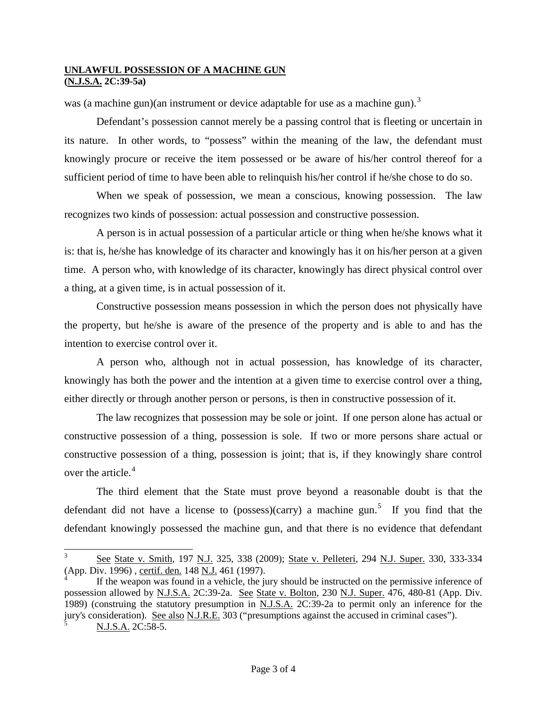was (a machine gun)(an instrument or device adaptable for use as a machine gun).<sup>[3](#page-1-0)</sup>

Defendant's possession cannot merely be a passing control that is fleeting or uncertain in its nature. In other words, to "possess" within the meaning of the law, the defendant must knowingly procure or receive the item possessed or be aware of his/her control thereof for a sufficient period of time to have been able to relinquish his/her control if he/she chose to do so.

When we speak of possession, we mean a conscious, knowing possession. The law recognizes two kinds of possession: actual possession and constructive possession.

A person is in actual possession of a particular article or thing when he/she knows what it is: that is, he/she has knowledge of its character and knowingly has it on his/her person at a given time. A person who, with knowledge of its character, knowingly has direct physical control over a thing, at a given time, is in actual possession of it.

Constructive possession means possession in which the person does not physically have the property, but he/she is aware of the presence of the property and is able to and has the intention to exercise control over it.

A person who, although not in actual possession, has knowledge of its character, knowingly has both the power and the intention at a given time to exercise control over a thing, either directly or through another person or persons, is then in constructive possession of it.

The law recognizes that possession may be sole or joint. If one person alone has actual or constructive possession of a thing, possession is sole. If two or more persons share actual or constructive possession of a thing, possession is joint; that is, if they knowingly share control over the article.<sup>[4](#page-2-1)</sup>

The third element that the State must prove beyond a reasonable doubt is that the defendant did not have a license to (possess)(carry) a machine gun.<sup>[5](#page-2-2)</sup> If you find that the defendant knowingly possessed the machine gun, and that there is no evidence that defendant

See State v. Smith, 197 N.J. 325, 338 (2009); State v. Pelleteri, 294 N.J. Super. 330, 333-334 (App. Div. 1996) , certif. den. 148 N.J. 461 (1997).

<span id="page-2-2"></span><span id="page-2-1"></span><span id="page-2-0"></span>If the weapon was found in a vehicle, the jury should be instructed on the permissive inference of possession allowed by N.J.S.A. 2C:39-2a. See State v. Bolton, 230 N.J. Super. 476, 480-81 (App. Div. 1989) (construing the statutory presumption in N.J.S.A. 2C:39-2a to permit only an inference for the jury's consideration). See also N.J.R.E. 303 ("presumptions against the accused in criminal cases"). <sup>5</sup> N.J.S.A. 2C:58-5.